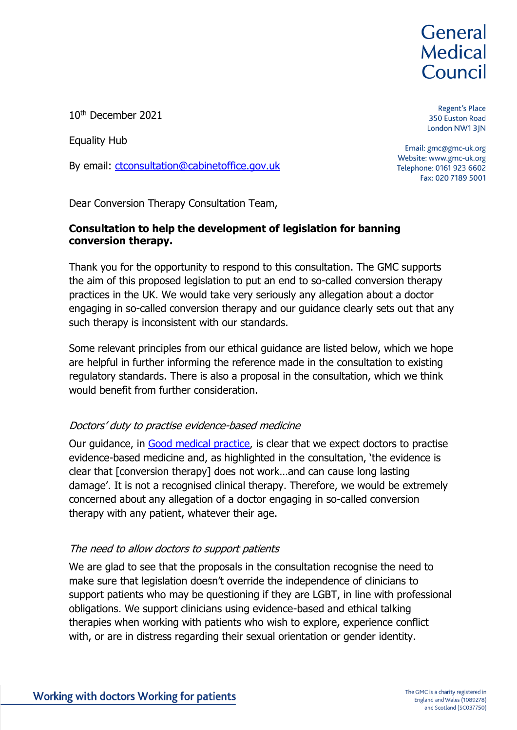# General **Medical** Council

Regent's Place 350 Euston Road London NW13JN

10th December 2021

Equality Hub

By email: [ctconsultation@cabinetoffice.gov.uk](mailto:ctconsultation@cabinetoffice.gov.uk)

Dear Conversion Therapy Consultation Team,

### **Consultation to help the development of legislation for banning conversion therapy.**

Thank you for the opportunity to respond to this consultation. The GMC supports the aim of this proposed legislation to put an end to so-called conversion therapy practices in the UK. We would take very seriously any allegation about a doctor engaging in so-called conversion therapy and our guidance clearly sets out that any such therapy is inconsistent with our standards.

Some relevant principles from our ethical guidance are listed below, which we hope are helpful in further informing the reference made in the consultation to existing regulatory standards. There is also a proposal in the consultation, which we think would benefit from further consideration.

### Doctors' duty to practise evidence-based medicine

Our guidance, in [Good medical practice,](https://www.gmc-uk.org/ethical-guidance/ethical-guidance-for-doctors/good-medical-practice/domain-1---knowledge-skills-and-performance#paragraph-16) is clear that we expect doctors to practise evidence-based medicine and, as highlighted in the consultation, 'the evidence is clear that [conversion therapy] does not work…and can cause long lasting damage'. It is not a recognised clinical therapy. Therefore, we would be extremely concerned about any allegation of a doctor engaging in so-called conversion therapy with any patient, whatever their age.

### The need to allow doctors to support patients

We are glad to see that the proposals in the consultation recognise the need to make sure that legislation doesn't override the independence of clinicians to support patients who may be questioning if they are LGBT, in line with professional obligations. We support clinicians using evidence-based and ethical talking therapies when working with patients who wish to explore, experience conflict with, or are in distress regarding their sexual orientation or gender identity.

Email: gmc@gmc-uk.org Website: www.gmc-uk.org Telephone: 0161 923 6602 Fax: 020 7189 5001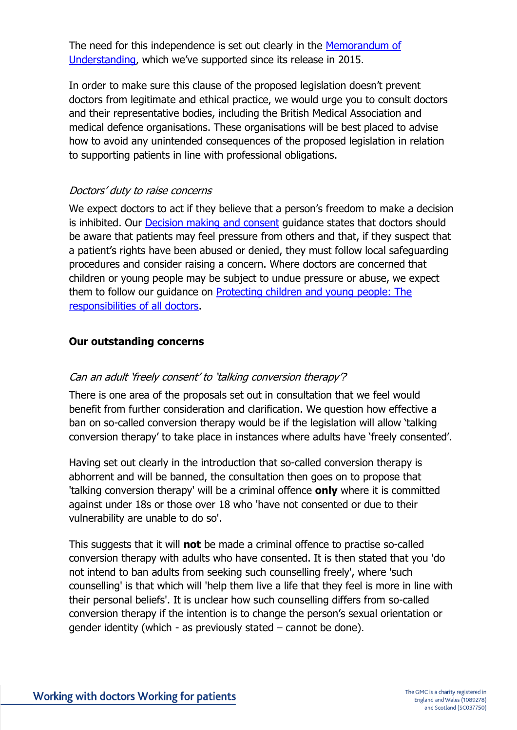The need for this independence is set out clearly in the [Memorandum of](https://www.bacp.co.uk/media/6526/memorandum-of-understanding-v2-reva-jul19.pdf)  [Understanding](https://www.bacp.co.uk/media/6526/memorandum-of-understanding-v2-reva-jul19.pdf), which we've supported since its release in 2015.

In order to make sure this clause of the proposed legislation doesn't prevent doctors from legitimate and ethical practice, we would urge you to consult doctors and their representative bodies, including the British Medical Association and medical defence organisations. These organisations will be best placed to advise how to avoid any unintended consequences of the proposed legislation in relation to supporting patients in line with professional obligations.

## Doctors' duty to raise concerns

We expect doctors to act if they believe that a person's freedom to make a decision is inhibited. Our **Decision making and consent** guidance states that doctors should be aware that patients may feel pressure from others and that, if they suspect that a patient's rights have been abused or denied, they must follow local safeguarding procedures and consider raising a concern. Where doctors are concerned that children or young people may be subject to undue pressure or abuse, we expect them to follow our guidance on [Protecting children and young people: The](https://www.gmc-uk.org/ethical-guidance/ethical-guidance-for-doctors/protecting-children-and-young-people/confidentiality-and-sharing-information#paragraph-32)  [responsibilities of all doctors.](https://www.gmc-uk.org/ethical-guidance/ethical-guidance-for-doctors/protecting-children-and-young-people/confidentiality-and-sharing-information#paragraph-32)

#### **Our outstanding concerns**

### Can an adult 'freely consent' to 'talking conversion therapy'?

There is one area of the proposals set out in consultation that we feel would benefit from further consideration and clarification. We question how effective a ban on so-called conversion therapy would be if the legislation will allow 'talking conversion therapy' to take place in instances where adults have 'freely consented'.

Having set out clearly in the introduction that so-called conversion therapy is abhorrent and will be banned, the consultation then goes on to propose that 'talking conversion therapy' will be a criminal offence **only** where it is committed against under 18s or those over 18 who 'have not consented or due to their vulnerability are unable to do so'.

This suggests that it will **not** be made a criminal offence to practise so-called conversion therapy with adults who have consented. It is then stated that you 'do not intend to ban adults from seeking such counselling freely', where 'such counselling' is that which will 'help them live a life that they feel is more in line with their personal beliefs'. It is unclear how such counselling differs from so-called conversion therapy if the intention is to change the person's sexual orientation or gender identity (which - as previously stated – cannot be done).